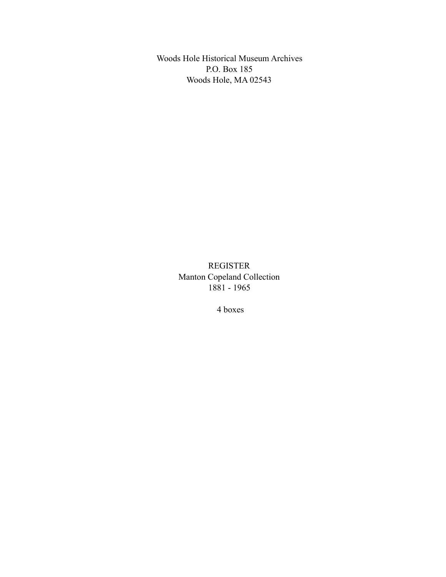Woods Hole Historical Museum Archives P.O. Box 185 Woods Hole, MA 02543

> REGISTER Manton Copeland Collection 1881 - 1965

> > 4 boxes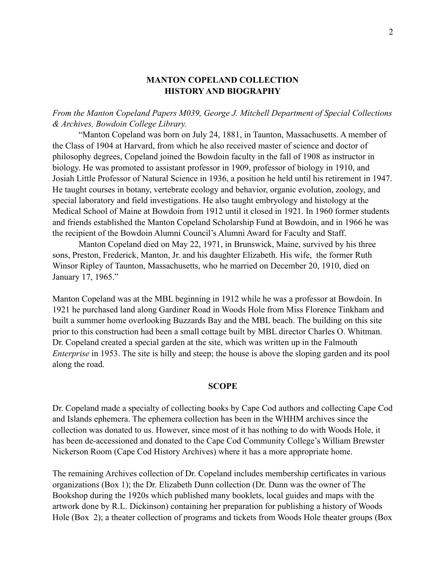#### **MANTON COPELAND COLLECTION HISTORY AND BIOGRAPHY**

### *From the Manton Copeland Papers M039, George J. Mitchell Department of Special Collections & Archives, Bowdoin College Library.*

"Manton Copeland was born on July 24, 1881, in Taunton, Massachusetts. A member of the Class of 1904 at Harvard, from which he also received master of science and doctor of philosophy degrees, Copeland joined the Bowdoin faculty in the fall of 1908 as instructor in biology. He was promoted to assistant professor in 1909, professor of biology in 1910, and Josiah Little Professor of Natural Science in 1936, a position he held until his retirement in 1947. He taught courses in botany, vertebrate ecology and behavior, organic evolution, zoology, and special laboratory and field investigations. He also taught embryology and histology at the Medical School of Maine at Bowdoin from 1912 until it closed in 1921. In 1960 former students and friends established the Manton Copeland Scholarship Fund at Bowdoin, and in 1966 he was the recipient of the Bowdoin Alumni Council's Alumni Award for Faculty and Staff.

Manton Copeland died on May 22, 1971, in Brunswick, Maine, survived by his three sons, Preston, Frederick, Manton, Jr. and his daughter Elizabeth. His wife, the former Ruth Winsor Ripley of Taunton, Massachusetts, who he married on December 20, 1910, died on January 17, 1965."

Manton Copeland was at the MBL beginning in 1912 while he was a professor at Bowdoin. In 1921 he purchased land along Gardiner Road in Woods Hole from Miss Florence Tinkham and built a summer home overlooking Buzzards Bay and the MBL beach. The building on this site prior to this construction had been a small cottage built by MBL director Charles O. Whitman. Dr. Copeland created a special garden at the site, which was written up in the Falmouth *Enterprise* in 1953. The site is hilly and steep; the house is above the sloping garden and its pool along the road.

#### **SCOPE**

Dr. Copeland made a specialty of collecting books by Cape Cod authors and collecting Cape Cod and Islands ephemera. The ephemera collection has been in the WHHM archives since the collection was donated to us. However, since most of it has nothing to do with Woods Hole, it has been de-accessioned and donated to the Cape Cod Community College's William Brewster Nickerson Room (Cape Cod History Archives) where it has a more appropriate home.

The remaining Archives collection of Dr. Copeland includes membership certificates in various organizations (Box 1); the Dr. Elizabeth Dunn collection (Dr. Dunn was the owner of The Bookshop during the 1920s which published many booklets, local guides and maps with the artwork done by R.L. Dickinson) containing her preparation for publishing a history of Woods Hole (Box 2); a theater collection of programs and tickets from Woods Hole theater groups (Box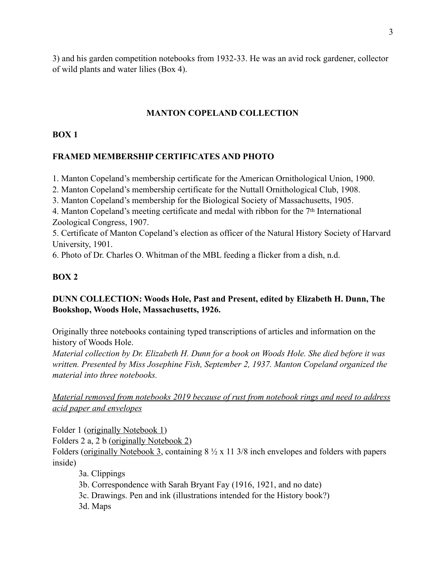3) and his garden competition notebooks from 1932-33. He was an avid rock gardener, collector of wild plants and water lilies (Box 4).

## **MANTON COPELAND COLLECTION**

### **BOX 1**

### **FRAMED MEMBERSHIP CERTIFICATES AND PHOTO**

1. Manton Copeland's membership certificate for the American Ornithological Union, 1900.

2. Manton Copeland's membership certificate for the Nuttall Ornithological Club, 1908.

3. Manton Copeland's membership for the Biological Society of Massachusetts, 1905.

4. Manton Copeland's meeting certificate and medal with ribbon for the 7th International Zoological Congress, 1907.

5. Certificate of Manton Copeland's election as officer of the Natural History Society of Harvard University, 1901.

6. Photo of Dr. Charles O. Whitman of the MBL feeding a flicker from a dish, n.d.

# **BOX 2**

# **DUNN COLLECTION: Woods Hole, Past and Present, edited by Elizabeth H. Dunn, The Bookshop, Woods Hole, Massachusetts, 1926.**

Originally three notebooks containing typed transcriptions of articles and information on the history of Woods Hole.

*Material collection by Dr. Elizabeth H. Dunn for a book on Woods Hole. She died before it was written. Presented by Miss Josephine Fish, September 2, 1937. Manton Copeland organized the material into three notebooks.* 

*Material removed from notebooks 2019 because of rust from notebook rings and need to address acid paper and envelopes* 

Folder 1 (originally Notebook 1) Folders 2 a, 2 b (originally Notebook 2) Folders (originally Notebook 3, containing  $8\frac{1}{2} \times 11\frac{3}{8}$  inch envelopes and folders with papers inside)

3a. Clippings

3b. Correspondence with Sarah Bryant Fay (1916, 1921, and no date)

3c. Drawings. Pen and ink (illustrations intended for the History book?)

3d. Maps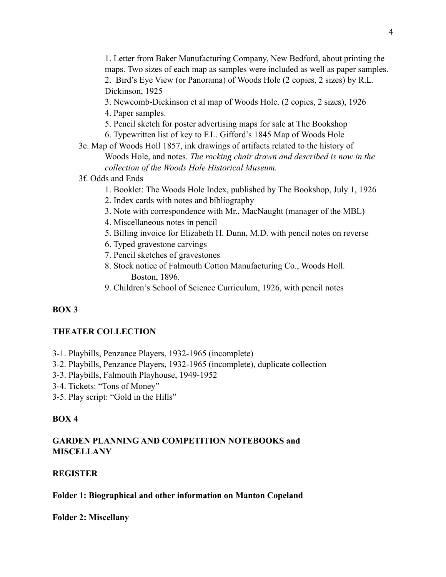1. Letter from Baker Manufacturing Company, New Bedford, about printing the maps. Two sizes of each map as samples were included as well as paper samples. 2. Bird's Eye View (or Panorama) of Woods Hole (2 copies, 2 sizes) by R.L. Dickinson, 1925

3. Newcomb-Dickinson et al map of Woods Hole. (2 copies, 2 sizes), 1926

- 4. Paper samples.
- 5. Pencil sketch for poster advertising maps for sale at The Bookshop
- 6. Typewritten list of key to F.L. Gifford's 1845 Map of Woods Hole
- 3e. Map of Woods Holl 1857, ink drawings of artifacts related to the history of Woods Hole, and notes. *The rocking chair drawn and described is now in the collection of the Woods Hole Historical Museum.*
- 3f. Odds and Ends
	- 1. Booklet: The Woods Hole Index, published by The Bookshop, July 1, 1926
	- 2. Index cards with notes and bibliography
	- 3. Note with correspondence with Mr., MacNaught (manager of the MBL)
	- 4. Miscellaneous notes in pencil
	- 5. Billing invoice for Elizabeth H. Dunn, M.D. with pencil notes on reverse
	- 6. Typed gravestone carvings
	- 7. Pencil sketches of gravestones
	- 8. Stock notice of Falmouth Cotton Manufacturing Co., Woods Holl. Boston, 1896.
	- 9. Children's School of Science Curriculum, 1926, with pencil notes

### **BOX 3**

### **THEATER COLLECTION**

- 3-1. Playbills, Penzance Players, 1932-1965 (incomplete)
- 3-2. Playbills, Penzance Players, 1932-1965 (incomplete), duplicate collection
- 3-3. Playbills, Falmouth Playhouse, 1949-1952
- 3-4. Tickets: "Tons of Money"
- 3-5. Play script: "Gold in the Hills"

#### **BOX 4**

# **GARDEN PLANNING AND COMPETITION NOTEBOOKS and MISCELLANY**

#### **REGISTER**

#### **Folder 1: Biographical and other information on Manton Copeland**

#### **Folder 2: Miscellany**